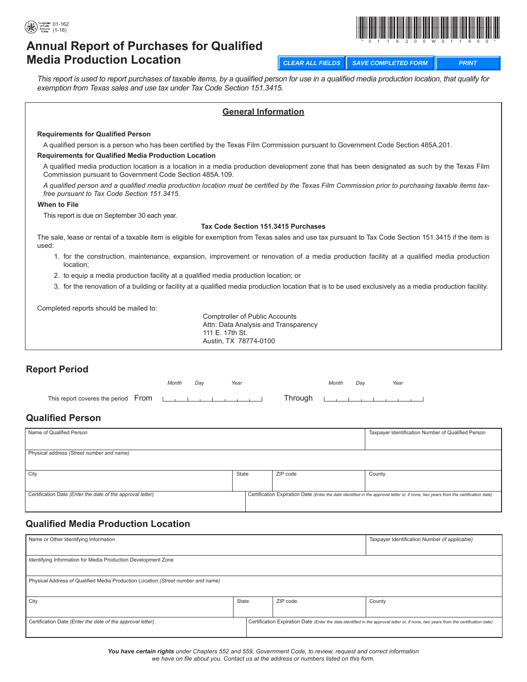



# **Annual Report of Purchases for Qualified Media Production Location**

**CLEAR ALL FIELDS SAVE COMPLETED FORM PRINT**

*This report is used to report purchases of taxable items, by a qualified person for use in a qualified media production location, that qualify for exemption from Texas sales and use tax under Tax Code Section 151.3415.* 

#### **General Information**

#### **Requirements for Qualified Person**

A qualified person is a person who has been certified by the Texas Film Commission pursuant to Government Code Section 485A.201.

#### **Requirements for Qualified Media Production Location**

A qualified media production location is a location in a media production development zone that has been designated as such by the Texas Film Commission pursuant to Government Code Section 485A.109.

*A qualified person and a qualified media production location must be certified by the Texas Film Commission prior to purchasing taxable items taxfree pursuant to Tax Code Section 151.3415.*

#### **When to File**

This report is due on September 30 each year.

#### **Tax Code Section 151.3415 Purchases**

The sale, lease or rental of a taxable item is eligible for exemption from Texas sales and use tax pursuant to Tax Code Section 151.3415 if the item is used:

- 1. for the construction, maintenance, expansion, improvement or renovation of a media production facility at a qualified media production location;
- 2. to equip a media production facility at a qualified media production location; or
- 3. for the renovation of a building or facility at a qualified media production location that is to be used exclusively as a media production facility.

Completed reports should be mailed to:

Comptroller of Public Accounts Attn: Data Analysis and Transparency 111 E. 17th St. Austin, TX 78774-0100

### **Report Period**

| Month | Dav | Year | Month | Dav | Year                        |
|-------|-----|------|-------|-----|-----------------------------|
|       |     |      |       |     | Through <u>experimental</u> |

### **Qualified Person**

| Name of Qualified Person                                   |       |          | Taxpayer Identification Number of Qualified Person                                                                                  |  |
|------------------------------------------------------------|-------|----------|-------------------------------------------------------------------------------------------------------------------------------------|--|
|                                                            |       |          |                                                                                                                                     |  |
| Physical address (Street number and name)                  |       |          |                                                                                                                                     |  |
|                                                            |       |          |                                                                                                                                     |  |
| City                                                       | State | ZIP code | County                                                                                                                              |  |
|                                                            |       |          |                                                                                                                                     |  |
| Certification Date (Enter the date of the approval letter) |       |          | Certification Expiration Date (Enter the date identified in the approval letter or, if none, two years from the certification date) |  |
|                                                            |       |          |                                                                                                                                     |  |

### **Qualified Media Production Location**

| Name or Other Identifying Information                                            |       |                                                                                                                                     |          | Taxpayer Identification Number (if applicable) |  |  |
|----------------------------------------------------------------------------------|-------|-------------------------------------------------------------------------------------------------------------------------------------|----------|------------------------------------------------|--|--|
|                                                                                  |       |                                                                                                                                     |          |                                                |  |  |
| Identifying Information for Media Production Development Zone                    |       |                                                                                                                                     |          |                                                |  |  |
|                                                                                  |       |                                                                                                                                     |          |                                                |  |  |
| Physical Address of Qualified Media Production Location (Street number and name) |       |                                                                                                                                     |          |                                                |  |  |
|                                                                                  |       |                                                                                                                                     |          |                                                |  |  |
| City                                                                             | State |                                                                                                                                     | ZIP code | County                                         |  |  |
|                                                                                  |       |                                                                                                                                     |          |                                                |  |  |
| Certification Date (Enter the date of the approval letter)                       |       | Certification Expiration Date (Enter the date identified in the approval letter or, if none, two years from the certification date) |          |                                                |  |  |
|                                                                                  |       |                                                                                                                                     |          |                                                |  |  |